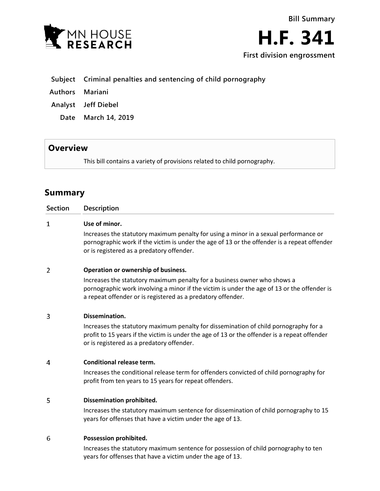



# **Subject Criminal penalties and sentencing of child pornography**

- **Authors Mariani**
- **Analyst Jeff Diebel**
	- **Date March 14, 2019**

## **Overview**

This bill contains a variety of provisions related to child pornography.

# **Summary**

| <b>Section</b> | Description                                                                                                                                                                                                                            |
|----------------|----------------------------------------------------------------------------------------------------------------------------------------------------------------------------------------------------------------------------------------|
| 1              | Use of minor.                                                                                                                                                                                                                          |
|                | Increases the statutory maximum penalty for using a minor in a sexual performance or<br>pornographic work if the victim is under the age of 13 or the offender is a repeat offender<br>or is registered as a predatory offender.       |
| $\overline{2}$ | Operation or ownership of business.                                                                                                                                                                                                    |
|                | Increases the statutory maximum penalty for a business owner who shows a<br>pornographic work involving a minor if the victim is under the age of 13 or the offender is<br>a repeat offender or is registered as a predatory offender. |
| 3              | Dissemination.                                                                                                                                                                                                                         |
|                | Increases the statutory maximum penalty for dissemination of child pornography for a<br>profit to 15 years if the victim is under the age of 13 or the offender is a repeat offender<br>or is registered as a predatory offender.      |
| 4              | <b>Conditional release term.</b>                                                                                                                                                                                                       |
|                | Increases the conditional release term for offenders convicted of child pornography for<br>profit from ten years to 15 years for repeat offenders.                                                                                     |
| 5              | Dissemination prohibited.                                                                                                                                                                                                              |
|                | Increases the statutory maximum sentence for dissemination of child pornography to 15<br>years for offenses that have a victim under the age of 13.                                                                                    |
| 6              | Possession prohibited.                                                                                                                                                                                                                 |
|                | Increases the statutory maximum sentence for possession of child pornography to ten<br>years for offenses that have a victim under the age of 13.                                                                                      |